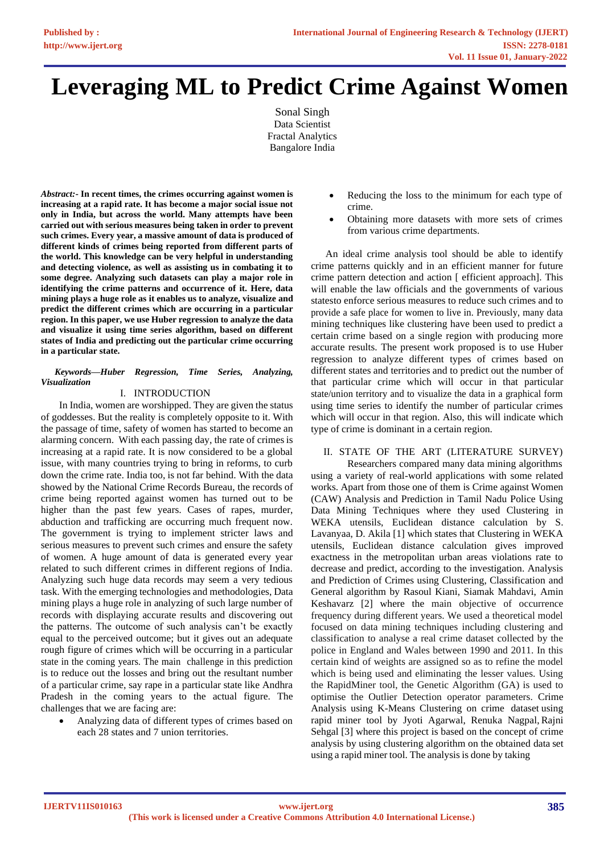# **Leveraging ML to Predict Crime Against Women**

Sonal Singh Data Scientist Fractal Analytics Bangalore India

*Abstract:***- In recent times, the crimes occurring against women is increasing at a rapid rate. It has become a major social issue not only in India, but across the world. Many attempts have been carried out with serious measures being taken in order to prevent such crimes. Every year, a massive amount of data is produced of different kinds of crimes being reported from different parts of the world. This knowledge can be very helpful in understanding and detecting violence, as well as assisting us in combating it to some degree. Analyzing such datasets can play a major role in identifying the crime patterns and occurrence of it. Here, data mining plays a huge role as it enables us to analyze, visualize and predict the different crimes which are occurring in a particular region. In this paper, we use Huber regression to analyze the data and visualize it using time series algorithm, based on different states of India and predicting out the particular crime occurring in a particular state.**

#### *Keywords—Huber Regression, Time Series, Analyzing, Visualization*

# I. INTRODUCTION

In India, women are worshipped. They are given the status of goddesses. But the reality is completely opposite to it. With the passage of time, safety of women has started to become an alarming concern. With each passing day, the rate of crimes is increasing at a rapid rate. It is now considered to be a global issue, with many countries trying to bring in reforms, to curb down the crime rate. India too, is not far behind. With the data showed by the National Crime Records Bureau, the records of crime being reported against women has turned out to be higher than the past few years. Cases of rapes, murder, abduction and trafficking are occurring much frequent now. The government is trying to implement stricter laws and serious measures to prevent such crimes and ensure the safety of women. A huge amount of data is generated every year related to such different crimes in different regions of India. Analyzing such huge data records may seem a very tedious task. With the emerging technologies and methodologies, Data mining plays a huge role in analyzing of such large number of records with displaying accurate results and discovering out the patterns. The outcome of such analysis can't be exactly equal to the perceived outcome; but it gives out an adequate rough figure of crimes which will be occurring in a particular state in the coming years. The main challenge in this prediction is to reduce out the losses and bring out the resultant number of a particular crime, say rape in a particular state like Andhra Pradesh in the coming years to the actual figure. The challenges that we are facing are:

• Analyzing data of different types of crimes based on each 28 states and 7 union territories.

- Reducing the loss to the minimum for each type of crime.
- Obtaining more datasets with more sets of crimes from various crime departments.

An ideal crime analysis tool should be able to identify crime patterns quickly and in an efficient manner for future crime pattern detection and action [ efficient approach]. This will enable the law officials and the governments of various statesto enforce serious measures to reduce such crimes and to provide a safe place for women to live in. Previously, many data mining techniques like clustering have been used to predict a certain crime based on a single region with producing more accurate results. The present work proposed is to use Huber regression to analyze different types of crimes based on different states and territories and to predict out the number of that particular crime which will occur in that particular state/union territory and to visualize the data in a graphical form using time series to identify the number of particular crimes which will occur in that region. Also, this will indicate which type of crime is dominant in a certain region.

# II. STATE OF THE ART (LITERATURE SURVEY)

Researchers compared many data mining algorithms using a variety of real-world applications with some related works. Apart from those one of them is Crime against Women (CAW) Analysis and Prediction in Tamil Nadu Police Using Data Mining Techniques where they used Clustering in WEKA utensils, Euclidean distance calculation by S. Lavanyaa, D. Akila [1] which states that Clustering in WEKA utensils, Euclidean distance calculation gives improved exactness in the metropolitan urban areas violations rate to decrease and predict, according to the investigation. Analysis and Prediction of Crimes using Clustering, Classification and General algorithm by Rasoul Kiani, Siamak Mahdavi, Amin Keshavarz [2] where the main objective of occurrence frequency during different years. We used a theoretical model focused on data mining techniques including clustering and classification to analyse a real crime dataset collected by the police in England and Wales between 1990 and 2011. In this certain kind of weights are assigned so as to refine the model which is being used and eliminating the lesser values. Using the RapidMiner tool, the Genetic Algorithm (GA) is used to optimise the Outlier Detection operator parameters. Crime Analysis using K-Means Clustering on crime dataset using rapid miner tool by Jyoti Agarwal, Renuka Nagpal, Rajni Sehgal [3] where this project is based on the concept of crime analysis by using clustering algorithm on the obtained data set using a rapid miner tool. The analysis is done by taking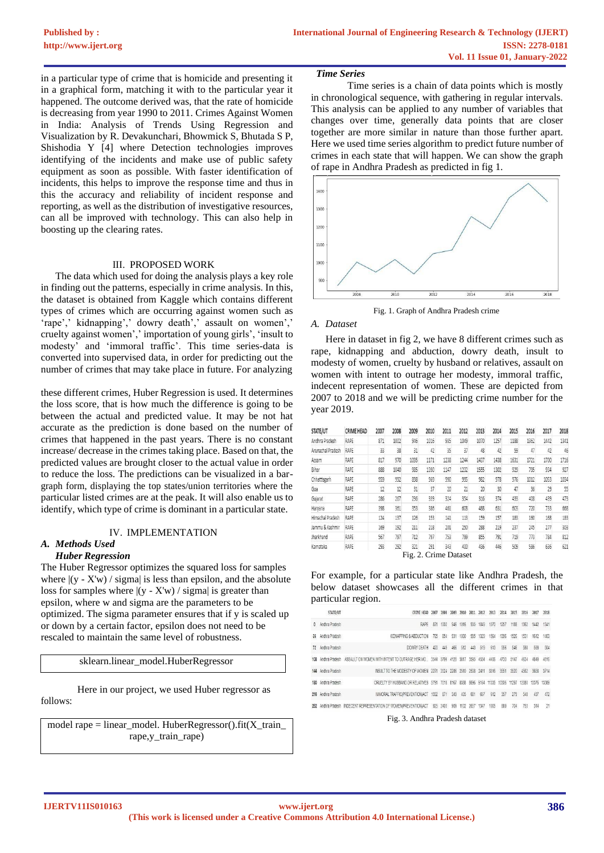in a particular type of crime that is homicide and presenting it in a graphical form, matching it with to the particular year it happened. The outcome derived was, that the rate of homicide is decreasing from year 1990 to 2011. Crimes Against Women in India: Analysis of Trends Using Regression and Visualization by R. Devakunchari, Bhowmick S, Bhutada S P, Shishodia Y [4] where Detection technologies improves identifying of the incidents and make use of public safety equipment as soon as possible. With faster identification of incidents, this helps to improve the response time and thus in this the accuracy and reliability of incident response and reporting, as well as the distribution of investigative resources, can all be improved with technology. This can also help in boosting up the clearing rates.

### III. PROPOSED WORK

The data which used for doing the analysis plays a key role in finding out the patterns, especially in crime analysis. In this, the dataset is obtained from Kaggle which contains different types of crimes which are occurring against women such as 'rape',' kidnapping',' dowry death',' assault on women',' cruelty against women',' importation of young girls', 'insult to modesty' and 'immoral traffic'. This time series-data is converted into supervised data, in order for predicting out the number of crimes that may take place in future. For analyzing

these different crimes, Huber Regression is used. It determines the loss score, that is how much the difference is going to be between the actual and predicted value. It may be not hat accurate as the prediction is done based on the number of crimes that happened in the past years. There is no constant increase/ decrease in the crimes taking place. Based on that, the predicted values are brought closer to the actual value in order to reduce the loss. The predictions can be visualized in a bargraph form, displaying the top states/union territories where the particular listed crimes are at the peak. It will also enable us to identify, which type of crime is dominant in a particular state.

#### IV. IMPLEMENTATION

#### *A. Methods Used Huber Regression*

The Huber Regressor optimizes the squared loss for samples where  $|(y - X'w)/\sigma$  sigma is less than epsilon, and the absolute loss for samples where  $|(y - X'w)/\sigma\right)$  is greater than epsilon, where w and sigma are the parameters to be optimized. The sigma parameter ensures that if y is scaled up or down by a certain factor, epsilon does not need to be rescaled to maintain the same level of robustness.

sklearn.linear\_model.HuberRegressor

follows: Here in our project, we used Huber regressor as

model rape = linear\_model. HuberRegressor().fit(X\_train\_ rape,y\_train\_rape)

#### *Time Series*

Time series is a chain of data points which is mostly in chronological sequence, with gathering in regular intervals. This analysis can be applied to any number of variables that changes over time, generally data points that are closer together are more similar in nature than those further apart. Here we used time series algorithm to predict future number of crimes in each state that will happen. We can show the graph of rape in Andhra Pradesh as predicted in fig 1.



Fig. 1. Graph of Andhra Pradesh crime

#### *A. Dataset*

Here in dataset in fig 2, we have 8 different crimes such as rape, kidnapping and abduction, dowry death, insult to modesty of women, cruelty by husband or relatives, assault on women with intent to outrage her modesty, immoral traffic, indecent representation of women. These are depicted from 2007 to 2018 and we will be predicting crime number for the year 2019.

| STATE/UT          | CRIME HEAD | 2007 | 2008 | 2009 | 2010 | 2011 | 2012 | 2013 | 2014 | 2015 | 2016 | 2017 | 2018 |
|-------------------|------------|------|------|------|------|------|------|------|------|------|------|------|------|
| Andhra Pradesh    | RAPE       | 871  | 1002 | 946  | 1016 | 935  | 1049 | 1070 | 1257 | 1188 | 1362 | 1442 | 1341 |
| Arunachal Pradesh | RAPE       | 33   | 38   | 31   | 42   | 35   | 37   | 48   | 42   | 59   | 47   | 42   | 46   |
| Assam             | RAPE       | 817  | 970  | 1095 | 1171 | 1238 | 1244 | 1437 | 1438 | 1631 | 1721 | 1700 | 1716 |
| Bihar             | RAPE       | 888  | 1040 | 985  | 1390 | 1147 | 1232 | 1555 | 1302 | 929  | 795  | 934  | 927  |
| Chhattisgarh      | RAPE       | 959  | 992  | 898  | 969  | 990  | 995  | 982  | 978  | 976  | 1012 | 1053 | 1034 |
| Goa               | RAPE       | 12   | 12   | 31   | 37   | 20   | 21   | 20   | 30   | 47   | 36   | 29   | 55   |
| Gujarat           | RAPE       | 286  | 267  | 236  | 339  | 324  | 354  | 316  | 374  | 433  | 408  | 439  | 473  |
| Haryana           | RAPE       | 398  | 361  | 353  | 386  | 461  | 608  | 488  | 631  | 603  | 720  | 733  | 668  |
| Himachal Pradesh  | RAPE       | 124  | 137  | 126  | 153  | 141  | 113  | 159  | 157  | 183  | 160  | 168  | 183  |
| Jammu & Kashmir   | RAPE       | 169  | 192  | 211  | 218  | 201  | 250  | 288  | 219  | 237  | 245  | 277  | 303  |
| Jharkhand         | RAPE       | 567  | 797  | 712  | 797  | 753  | 799  | 855  | 791  | 719  | 773  | 784  | 812  |
| Karnataka         | RAPE       | 293  | 292  | 321  | 291  | 343  | 400  | 436  | 446  | 509  | 586  | 636  | 621  |

For example, for a particular state like Andhra Pradesh, the below dataset showcases all the different crimes in that particular region.

|            | STATE/UT           | <b>CRTME HEAD</b>                                                                 |      |           | 7999                | 2010 |      | 2012 | 2013            | 2014  | 2015  | 2016  | 2017        | 2018      |
|------------|--------------------|-----------------------------------------------------------------------------------|------|-----------|---------------------|------|------|------|-----------------|-------|-------|-------|-------------|-----------|
| $^{\circ}$ | Andhra Pradesh     | RAPF                                                                              | 871  | 1002      | 946                 | 1016 | 935  | 1049 | 1070            | 1257  | 1188  | 1362  | 1442        | 1341      |
|            | 36 Andhra Pradesh  | KIRNAPPING & ARRUCTION                                                            | 765  | 854       | 931                 | 1030 | 995  | 1329 | 1564            | 1396  | 1526  | 1531  | 1612        | 1403      |
|            | 72 Andhra Pradesh  | DOWRY DEATH                                                                       | 420  | 449       | 466                 | 512  | 443  | 519  | 613             | 556   | 546   | 588   | 599         | $-504$    |
|            | 108 Anthra Pradesh | ASSAULT ON WOMEN WITH INTENT TO OUTRAGE HER MO 3544 3799 4128 3817 3595 4534 4406 |      |           |                     |      |      |      |                 | 4730  | 5147  | 4634  |             | 4849 4816 |
|            | 144 Andhra Pradesh | INSULT TO THE MODESTY OF WOMEN                                                    | 2271 | 2024      | 2286 2310 2508 2411 |      |      |      | 3316            | 3551  | 3520  | 4562  |             | 3658 3714 |
|            | 180 Andhra Pradesh | CRUELTY BY HUSBAND OR RELATIVES 5791                                              |      | 7018 8167 |                     | 8388 |      |      | 8696 9164 11335 | 10306 | 11297 | 12080 | 13376 13389 |           |
|            | 216 Andhra Pradesh | IMMORAL TRAFFICIPREVENTIONIACT 1332                                               |      | 871       | 349                 | 405  | 681  | 657  | 612             | 357   | 279   | 548   | 497         | $-472$    |
|            | 252 Anthra Pratesh | INDECENT REPRESENTATION OF WOMEN/PREVENTION/ACT                                   |      | 925 2403  | 909                 | 1102 | 2657 | 1347 | 1005            | 889   | 704   | 753   | 314         | 21        |

Fig. 3. Andhra Pradesh dataset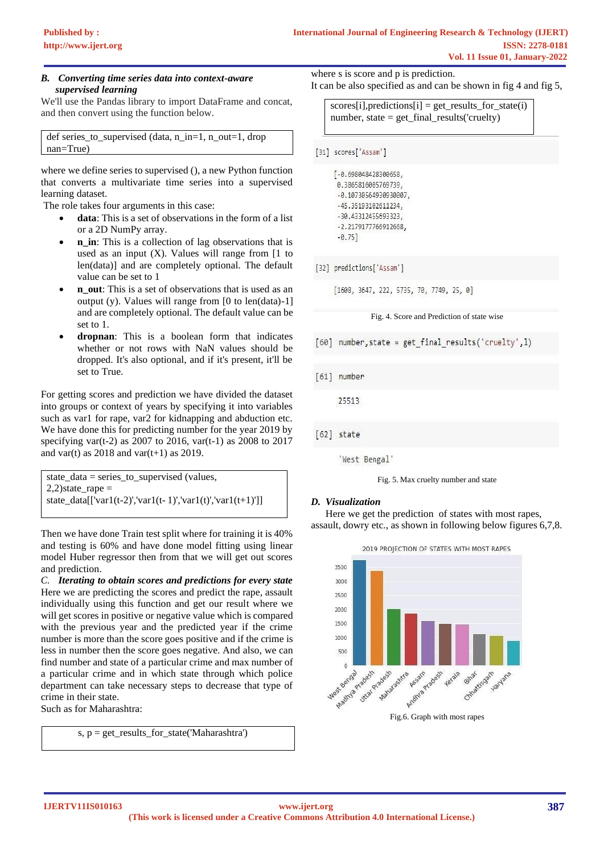## *B. Converting time series data into context-aware supervised learning*

We'll use the Pandas library to import DataFrame and concat, and then convert using the function below.

```
def series_to_supervised (data, n_in=1, n_out=1, drop 
nan=True)
```
where we define series to supervised (), a new Python function that converts a multivariate time series into a supervised learning dataset.

The role takes four arguments in this case:

- **data**: This is a set of observations in the form of a list or a 2D NumPy array.
- **n** in: This is a collection of lag observations that is used as an input  $(X)$ . Values will range from  $[1]$  to len(data)] and are completely optional. The default value can be set to 1
- **n\_out**: This is a set of observations that is used as an output (y). Values will range from  $[0 \text{ to len(data)}-1]$ and are completely optional. The default value can be set to 1.
- **dropnan**: This is a boolean form that indicates whether or not rows with NaN values should be dropped. It's also optional, and if it's present, it'll be set to True.

For getting scores and prediction we have divided the dataset into groups or context of years by specifying it into variables such as var1 for rape, var2 for kidnapping and abduction etc. We have done this for predicting number for the year 2019 by specifying var(t-2) as 2007 to 2016, var(t-1) as 2008 to 2017 and var(t) as  $2018$  and var(t+1) as  $2019$ .

state\_data = series\_to\_supervised (values,  $2,2$ )state\_rape = state\_data[['var1(t-2)','var1(t-1)','var1(t)','var1(t+1)']]

Then we have done Train test split where for training it is 40% and testing is 60% and have done model fitting using linear model Huber regressor then from that we will get out scores and prediction.

*C. Iterating to obtain scores and predictions for every state* Here we are predicting the scores and predict the rape, assault individually using this function and get our result where we will get scores in positive or negative value which is compared with the previous year and the predicted year if the crime number is more than the score goes positive and if the crime is less in number then the score goes negative. And also, we can find number and state of a particular crime and max number of a particular crime and in which state through which police department can take necessary steps to decrease that type of crime in their state.

Such as for Maharashtra:

s, p = get\_results\_for\_state('Maharashtra')

where s is score and p is prediction.

It can be also specified as and can be shown in fig 4 and fig 5,

 $scores[i], predictions[i] = get\_results\_for\_state(i)$ number, state = get\_final\_results('cruelty)

[31] scores['Assam']

[-0.698048428300658, 0.3865816005769739,  $-0.10730564930930007,$ -45.35193102611234, -30.43312455693323, -2.2179177766912668,  $-0.75$ ]

[32] predictions['Assam']

 $[1608, 3647, 222, 5735, 70, 7749, 25, 0]$ 

#### Fig. 4. Score and Prediction of state wise



[61] number

25513

 $[62]$  state

'West Bengal'

Fig. 5. Max cruelty number and state

# *D. Visualization*

Here we get the prediction of states with most rapes, assault, dowry etc., as shown in following below figures 6,7,8.